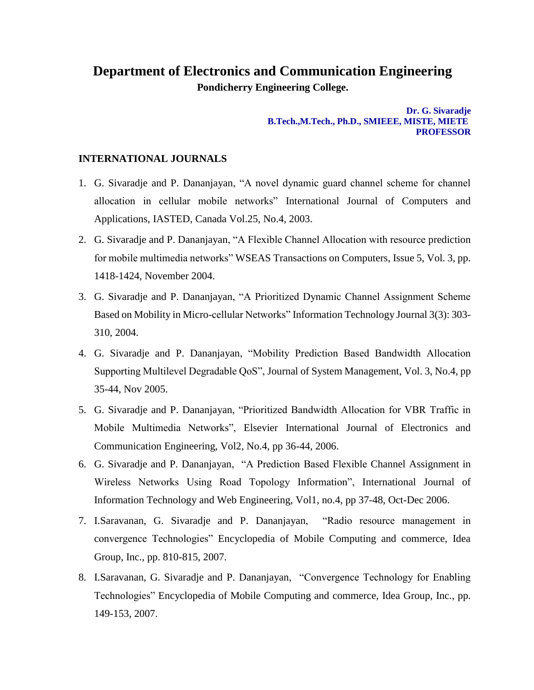## **Department of Electronics and Communication Engineering Pondicherry Engineering College.**

**Dr. G. Sivaradje B.Tech.,M.Tech., Ph.D., SMIEEE, MISTE, MIETE PROFESSOR**

## **INTERNATIONAL JOURNALS**

- 1. G. Sivaradje and P. Dananjayan, "A novel dynamic guard channel scheme for channel allocation in cellular mobile networks" International Journal of Computers and Applications, IASTED, Canada Vol.25, No.4, 2003.
- 2. G. Sivaradje and P. Dananjayan, "A Flexible Channel Allocation with resource prediction for mobile multimedia networks" WSEAS Transactions on Computers, Issue 5, Vol. 3, pp. 1418-1424, November 2004.
- 3. G. Sivaradje and P. Dananjayan, "A Prioritized Dynamic Channel Assignment Scheme Based on Mobility in Micro-cellular Networks" Information Technology Journal 3(3): 303- 310, 2004.
- 4. G. Sivaradje and P. Dananjayan, "Mobility Prediction Based Bandwidth Allocation Supporting Multilevel Degradable QoS", Journal of System Management, Vol. 3, No.4, pp 35-44, Nov 2005.
- 5. G. Sivaradje and P. Dananjayan, "Prioritized Bandwidth Allocation for VBR Traffic in Mobile Multimedia Networks", Elsevier International Journal of Electronics and Communication Engineering, Vol2, No.4, pp 36-44, 2006.
- 6. G. Sivaradje and P. Dananjayan, "A Prediction Based Flexible Channel Assignment in Wireless Networks Using Road Topology Information", International Journal of Information Technology and Web Engineering, Vol1, no.4, pp 37-48, Oct-Dec 2006.
- 7. I.Saravanan, G. Sivaradje and P. Dananjayan, "Radio resource management in convergence Technologies" Encyclopedia of Mobile Computing and commerce, Idea Group, Inc., pp. 810-815, 2007.
- 8. I.Saravanan, G. Sivaradje and P. Dananjayan, "Convergence Technology for Enabling Technologies" Encyclopedia of Mobile Computing and commerce, Idea Group, Inc., pp. 149-153, 2007.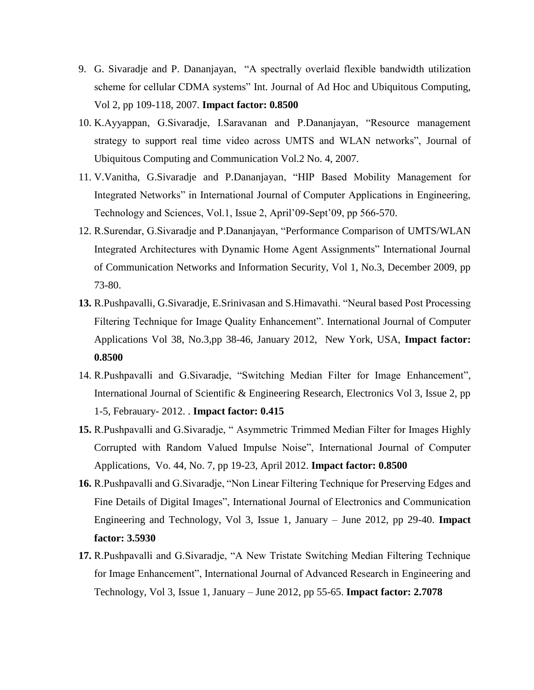- 9. G. Sivaradje and P. Dananjayan, "A spectrally overlaid flexible bandwidth utilization scheme for cellular CDMA systems" Int. Journal of Ad Hoc and Ubiquitous Computing, Vol 2, pp 109-118, 2007. **Impact factor: 0.8500**
- 10. K.Ayyappan, G.Sivaradje, I.Saravanan and P.Dananjayan, "Resource management strategy to support real time video across UMTS and WLAN networks", Journal of Ubiquitous Computing and Communication Vol.2 No. 4, 2007.
- 11. V.Vanitha, G.Sivaradje and P.Dananjayan, "HIP Based Mobility Management for Integrated Networks" in International Journal of Computer Applications in Engineering, Technology and Sciences, Vol.1, Issue 2, April'09-Sept'09, pp 566-570.
- 12. R.Surendar, G.Sivaradje and P.Dananjayan, "Performance Comparison of UMTS/WLAN Integrated Architectures with Dynamic Home Agent Assignments" International Journal of Communication Networks and Information Security, Vol 1, No.3, December 2009, pp 73-80.
- **13.** R.Pushpavalli, G.Sivaradje, E.Srinivasan and S.Himavathi. "Neural based Post Processing Filtering Technique for Image Quality Enhancement". International Journal of Computer Applications Vol 38, No.3,pp 38-46, January 2012, New York, USA, **Impact factor: 0.8500**
- 14. R.Pushpavalli and G.Sivaradje, "Switching Median Filter for Image Enhancement", International Journal of Scientific & Engineering Research, Electronics Vol 3, Issue 2, pp 1-5, Febrauary- 2012. . **Impact factor: 0.415**
- **15.** R.Pushpavalli and G.Sivaradje, " Asymmetric Trimmed Median Filter for Images Highly Corrupted with Random Valued Impulse Noise", International Journal of Computer Applications, Vo. 44, No. 7, pp 19-23, April 2012. **Impact factor: 0.8500**
- **16.** R.Pushpavalli and G.Sivaradje, "Non Linear Filtering Technique for Preserving Edges and Fine Details of Digital Images", International Journal of Electronics and Communication Engineering and Technology, Vol 3, Issue 1, January – June 2012, pp 29-40. **Impact factor: 3.5930**
- **17.** R.Pushpavalli and G.Sivaradje, "A New Tristate Switching Median Filtering Technique for Image Enhancement", International Journal of Advanced Research in Engineering and Technology, Vol 3, Issue 1, January – June 2012, pp 55-65. **Impact factor: 2.7078**